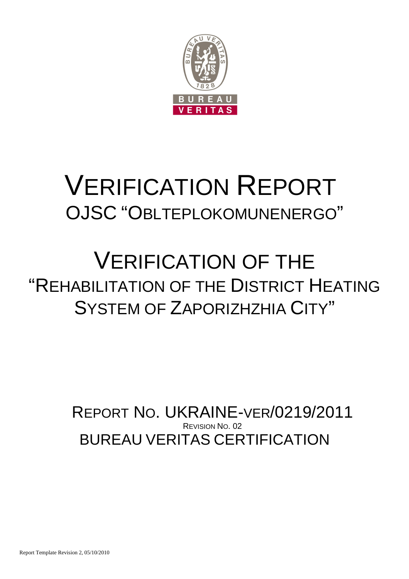

# VERIFICATION REPORT OJSC "OBLTEPLOKOMUNENERGO"

## VERIFICATION OF THE "REHABILITATION OF THE DISTRICT HEATING SYSTEM OF ZAPORIZHZHIA CITY"

BUREAU VERITAS CERTIFICATION REPORT NO. UKRAINE-VER/0219/2011 REVISION NO. 02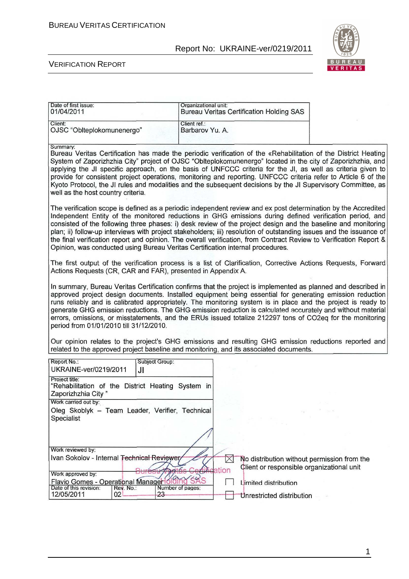

#### VERIFICATION REPORT

| Date of first issue:<br>01/04/2011                                                                                                                                                                                                                                                                                                                                                                                                                                                                                                                                                                                               | Organizational unit:                                                                                                                                                                                                                                                                                                                                                                                                                                                                                                                                                                                                                                                      | <b>Bureau Veritas Certification Holding SAS</b>                                                                                                   |      |  |  |  |
|----------------------------------------------------------------------------------------------------------------------------------------------------------------------------------------------------------------------------------------------------------------------------------------------------------------------------------------------------------------------------------------------------------------------------------------------------------------------------------------------------------------------------------------------------------------------------------------------------------------------------------|---------------------------------------------------------------------------------------------------------------------------------------------------------------------------------------------------------------------------------------------------------------------------------------------------------------------------------------------------------------------------------------------------------------------------------------------------------------------------------------------------------------------------------------------------------------------------------------------------------------------------------------------------------------------------|---------------------------------------------------------------------------------------------------------------------------------------------------|------|--|--|--|
| Client:<br>OJSC "Oblteplokomunenergo"                                                                                                                                                                                                                                                                                                                                                                                                                                                                                                                                                                                            | Client ref.:<br>Barbarov Yu. A.                                                                                                                                                                                                                                                                                                                                                                                                                                                                                                                                                                                                                                           |                                                                                                                                                   |      |  |  |  |
| Summary:<br>Bureau Veritas Certification has made the periodic verification of the «Rehabilitation of the District Heating<br>System of Zaporizhzhia City" project of OJSC "Oblteplokomunenergo" located in the city of Zaporizhzhia, and<br>applying the JI specific approach, on the basis of UNFCCC criteria for the JI, as well as criteria given to<br>provide for consistent project operations, monitoring and reporting. UNFCCC criteria refer to Article 6 of the<br>Kyoto Protocol, the JI rules and modalities and the subsequent decisions by the JI Supervisory Committee, as<br>well as the host country criteria. |                                                                                                                                                                                                                                                                                                                                                                                                                                                                                                                                                                                                                                                                           |                                                                                                                                                   |      |  |  |  |
|                                                                                                                                                                                                                                                                                                                                                                                                                                                                                                                                                                                                                                  | The verification scope is defined as a periodic independent review and ex post determination by the Accredited<br>Independent Entity of the monitored reductions in GHG emissions during defined verification period, and<br>consisted of the following three phases: i) desk review of the project design and the baseline and monitoring<br>plan; ii) follow-up interviews with project stakeholders; iii) resolution of outstanding issues and the issuance of<br>the final verification report and opinion. The overall verification, from Contract Review to Verification Report &<br>Opinion, was conducted using Bureau Veritas Certification internal procedures. |                                                                                                                                                   |      |  |  |  |
| The first output of the verification process is a list of Clarification, Corrective Actions Requests, Forward<br>Actions Requests (CR, CAR and FAR), presented in Appendix A.                                                                                                                                                                                                                                                                                                                                                                                                                                                    |                                                                                                                                                                                                                                                                                                                                                                                                                                                                                                                                                                                                                                                                           |                                                                                                                                                   |      |  |  |  |
| In summary, Bureau Veritas Certification confirms that the project is implemented as planned and described in<br>approved project design documents. Installed equipment being essential for generating emission reduction<br>runs reliably and is calibrated appropriately. The monitoring system is in place and the project is ready to<br>generate GHG emission reductions. The GHG emission reduction is calculated accurately and without material<br>errors, omissions, or misstatements, and the ERUs issued totalize 212297 tons of CO2eq for the monitoring<br>period from 01/01/2010 till 31/12/2010.                  |                                                                                                                                                                                                                                                                                                                                                                                                                                                                                                                                                                                                                                                                           |                                                                                                                                                   |      |  |  |  |
| Our opinion relates to the project's GHG emissions and resulting GHG emission reductions reported and<br>related to the approved project baseline and monitoring, and its associated documents.                                                                                                                                                                                                                                                                                                                                                                                                                                  |                                                                                                                                                                                                                                                                                                                                                                                                                                                                                                                                                                                                                                                                           |                                                                                                                                                   |      |  |  |  |
| Report No.:<br>Subject Group:<br>UKRAINE-ver/0219/2011<br>JI                                                                                                                                                                                                                                                                                                                                                                                                                                                                                                                                                                     |                                                                                                                                                                                                                                                                                                                                                                                                                                                                                                                                                                                                                                                                           |                                                                                                                                                   |      |  |  |  |
| Project title:<br>"Rehabilitation of the District Heating System in<br>Zaporizhzhia City"                                                                                                                                                                                                                                                                                                                                                                                                                                                                                                                                        |                                                                                                                                                                                                                                                                                                                                                                                                                                                                                                                                                                                                                                                                           |                                                                                                                                                   |      |  |  |  |
| Work carried out by:<br>Oleg Skoblyk - Team Leader, Verifier, Technical<br>Specialist                                                                                                                                                                                                                                                                                                                                                                                                                                                                                                                                            |                                                                                                                                                                                                                                                                                                                                                                                                                                                                                                                                                                                                                                                                           |                                                                                                                                                   | De E |  |  |  |
|                                                                                                                                                                                                                                                                                                                                                                                                                                                                                                                                                                                                                                  |                                                                                                                                                                                                                                                                                                                                                                                                                                                                                                                                                                                                                                                                           |                                                                                                                                                   |      |  |  |  |
| Work reviewed by:<br>Ivan Sokolov - Internal Technical Reviewer<br>Work approved by:<br>Flavio Gomes - Operational Manager offing SAS                                                                                                                                                                                                                                                                                                                                                                                                                                                                                            |                                                                                                                                                                                                                                                                                                                                                                                                                                                                                                                                                                                                                                                                           | $\times$<br>No distribution without permission from the<br>Client or responsible organizational unit<br><i>il</i> ication<br>Limited distribution |      |  |  |  |
| Date of this revision:<br>Rev. No.:<br>12/05/2011<br>23<br>02                                                                                                                                                                                                                                                                                                                                                                                                                                                                                                                                                                    | Number of pages:                                                                                                                                                                                                                                                                                                                                                                                                                                                                                                                                                                                                                                                          | Unrestricted distribution                                                                                                                         |      |  |  |  |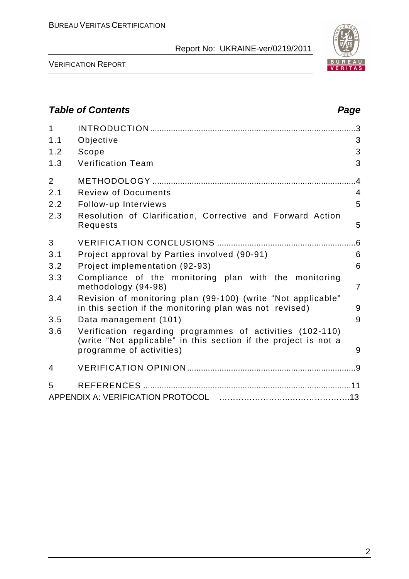

VERIFICATION REPORT

## **Table of Contents Page 2016** 1 INTRODUCTION .........................................................................................3 1.1 Objective 3 1.2 Scope 3 1.3 Verification Team 3 2 METHODOLOGY ........................................................................................4 2.1 Review of Documents 4 2.2 Follow-up Interviews 5 2.3 Resolution of Clarification, Corrective and Forward Action Requests 5 3 VERIFICATION CONCLUSIONS ............................................................6 3.1 Project approval by Parties involved (90-91) 6 3.2 Project implementation (92-93) 6 3.3 Compliance of the monitoring plan with the monitoring methodology (94-98) 7 3.4 Revision of monitoring plan (99-100) (write "Not applicable" in this section if the monitoring plan was not revised) 9 3.5 Data management (101) 9 3.6 Verification regarding programmes of activities (102-110) (write "Not applicable" in this section if the project is not a programme of activities) and the state of  $\sim$  9 4 VERIFICATION OPINION .........................................................................9 5 REFERENCES ..........................................................................................11 APPENDIX A: VERIFICATION PROTOCOL ……………………..………………….13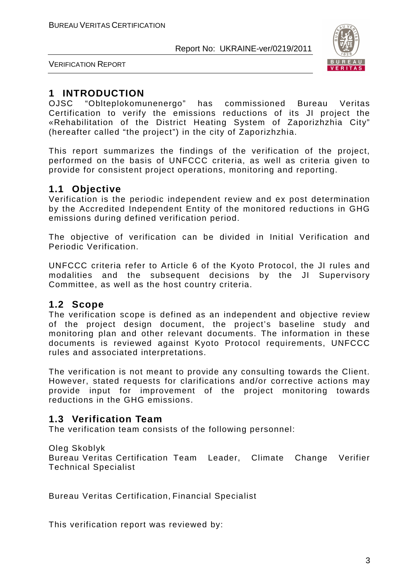

VERIFICATION REPORT

## **1 INTRODUCTION**

OJSC "Oblteplokomunenergo" has commissioned Bureau Veritas Certification to verify the emissions reductions of its JI project the «Rehabilitation of the District Heating System of Zaporizhzhia City" (hereafter called "the project") in the city of Zaporizhzhia.

This report summarizes the findings of the verification of the project, performed on the basis of UNFCCC criteria, as well as criteria given to provide for consistent project operations, monitoring and reporting.

## **1.1 Objective**

Verification is the periodic independent review and ex post determination by the Accredited Independent Entity of the monitored reductions in GHG emissions during defined verification period.

The objective of verification can be divided in Initial Verification and Periodic Verification.

UNFCCC criteria refer to Article 6 of the Kyoto Protocol, the JI rules and modalities and the subsequent decisions by the JI Supervisory Committee, as well as the host country criteria.

## **1.2 Scope**

The verification scope is defined as an independent and objective review of the project design document, the project's baseline study and monitoring plan and other relevant documents. The information in these documents is reviewed against Kyoto Protocol requirements, UNFCCC rules and associated interpretations.

The verification is not meant to provide any consulting towards the Client. However, stated requests for clarifications and/or corrective actions may provide input for improvement of the project monitoring towards reductions in the GHG emissions.

## **1.3 Verification Team**

The verification team consists of the following personnel:

#### Oleg Skoblyk

Bureau Veritas Certification Team Leader, Climate Change Verifier Technical Specialist

Bureau Veritas Certification, Financial Specialist

This verification report was reviewed by: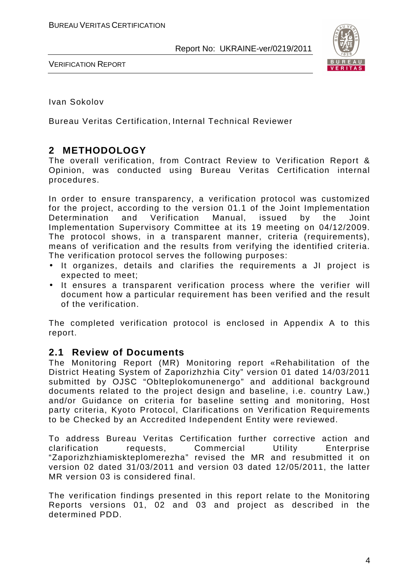

VERIFICATION REPORT

Ivan Sokolov

Bureau Veritas Certification, Internal Technical Reviewer

## **2 METHODOLOGY**

The overall verification, from Contract Review to Verification Report & Opinion, was conducted using Bureau Veritas Certification internal procedures.

In order to ensure transparency, a verification protocol was customized for the project, according to the version 01.1 of the Joint Implementation Determination and Verification Manual, issued by the Joint Implementation Supervisory Committee at its 19 meeting on 04/12/2009. The protocol shows, in a transparent manner, criteria (requirements), means of verification and the results from verifying the identified criteria. The verification protocol serves the following purposes:

- It organizes, details and clarifies the requirements a JI project is expected to meet;
- It ensures a transparent verification process where the verifier will document how a particular requirement has been verified and the result of the verification.

The completed verification protocol is enclosed in Appendix A to this report.

## **2.1 Review of Documents**

The Monitoring Report (MR) Monitoring report «Rehabilitation of the District Heating System of Zaporizhzhia City" version 01 dated 14/03/2011 submitted by OJSC "Oblteplokomunenergo" and additional background documents related to the project design and baseline, i.e. country Law,) and/or Guidance on criteria for baseline setting and monitoring, Host party criteria, Kyoto Protocol, Clarifications on Verification Requirements to be Checked by an Accredited Independent Entity were reviewed.

To address Bureau Veritas Certification further corrective action and clarification requests, Commercial Utility Enterprise "Zaporizhzhiamiskteplomerezha" revised the MR and resubmitted it on version 02 dated 31/03/2011 and version 03 dated 12/05/2011, the latter MR version 03 is considered final.

The verification findings presented in this report relate to the Monitoring Reports versions 01, 02 and 03 and project as described in the determined PDD.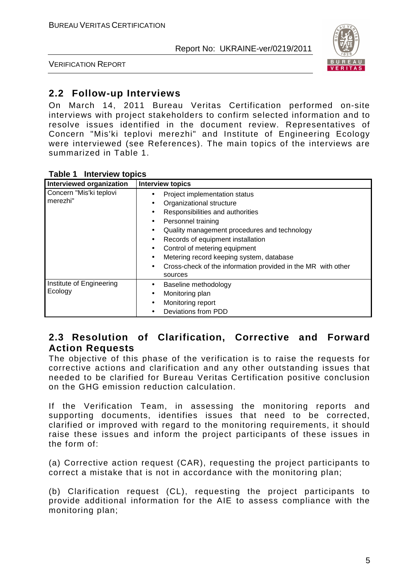

VERIFICATION REPORT

## **2.2 Follow-up Interviews**

On March 14, 2011 Bureau Veritas Certification performed on-site interviews with project stakeholders to confirm selected information and to resolve issues identified in the document review. Representatives of Concern "Mis'ki teplovi merezhi" and Institute of Engineering Ecology were interviewed (see References). The main topics of the interviews are summarized in Table 1.

| Interviewed organization            | <b>Interview topics</b>                                                                                                                                                                                                                                                                                                                                                                                                                                                  |
|-------------------------------------|--------------------------------------------------------------------------------------------------------------------------------------------------------------------------------------------------------------------------------------------------------------------------------------------------------------------------------------------------------------------------------------------------------------------------------------------------------------------------|
| Concern "Mis'ki teplovi<br>merezhi" | Project implementation status<br>Organizational structure<br>$\bullet$<br>Responsibilities and authorities<br>$\bullet$<br>Personnel training<br>$\bullet$<br>Quality management procedures and technology<br>$\bullet$<br>Records of equipment installation<br>$\bullet$<br>Control of metering equipment<br>$\bullet$<br>Metering record keeping system, database<br>$\bullet$<br>Cross-check of the information provided in the MR with other<br>$\bullet$<br>sources |
| Institute of Engineering<br>Ecology | Baseline methodology<br>٠<br>Monitoring plan<br>$\bullet$<br>Monitoring report<br>Deviations from PDD                                                                                                                                                                                                                                                                                                                                                                    |

## **2.3 Resolution of Clarification, Corrective and Forward Action Requests**

The objective of this phase of the verification is to raise the requests for corrective actions and clarification and any other outstanding issues that needed to be clarified for Bureau Veritas Certification positive conclusion on the GHG emission reduction calculation.

If the Verification Team, in assessing the monitoring reports and supporting documents, identifies issues that need to be corrected, clarified or improved with regard to the monitoring requirements, it should raise these issues and inform the project participants of these issues in the form of:

(a) Corrective action request (CAR), requesting the project participants to correct a mistake that is not in accordance with the monitoring plan;

(b) Clarification request (CL), requesting the project participants to provide additional information for the AIE to assess compliance with the monitoring plan;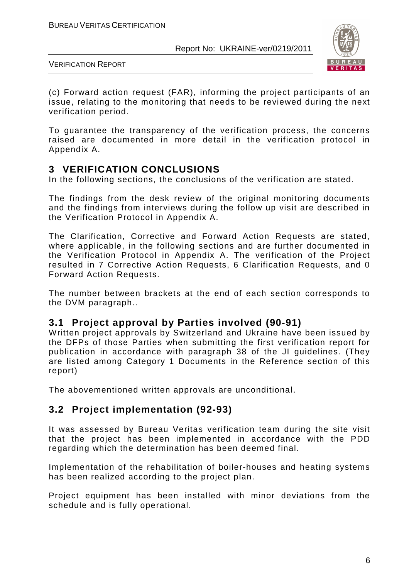

VERIFICATION REPORT

(c) Forward action request (FAR), informing the project participants of an issue, relating to the monitoring that needs to be reviewed during the next verification period.

To guarantee the transparency of the verification process, the concerns raised are documented in more detail in the verification protocol in Appendix A.

## **3 VERIFICATION CONCLUSIONS**

In the following sections, the conclusions of the verification are stated.

The findings from the desk review of the original monitoring documents and the findings from interviews during the follow up visit are described in the Verification Protocol in Appendix A.

The Clarification, Corrective and Forward Action Requests are stated, where applicable, in the following sections and are further documented in the Verification Protocol in Appendix A. The verification of the Project resulted in 7 Corrective Action Requests, 6 Clarification Requests, and 0 Forward Action Requests.

The number between brackets at the end of each section corresponds to the DVM paragraph..

## **3.1 Project approval by Parties involved (90-91)**

Written project approvals by Switzerland and Ukraine have been issued by the DFPs of those Parties when submitting the first verification report for publication in accordance with paragraph 38 of the JI guidelines. (They are listed among Category 1 Documents in the Reference section of this report)

The abovementioned written approvals are unconditional.

## **3.2 Project implementation (92-93)**

It was assessed by Bureau Veritas verification team during the site visit that the project has been implemented in accordance with the PDD regarding which the determination has been deemed final.

Implementation of the rehabilitation of boiler-houses and heating systems has been realized according to the project plan.

Project equipment has been installed with minor deviations from the schedule and is fully operational.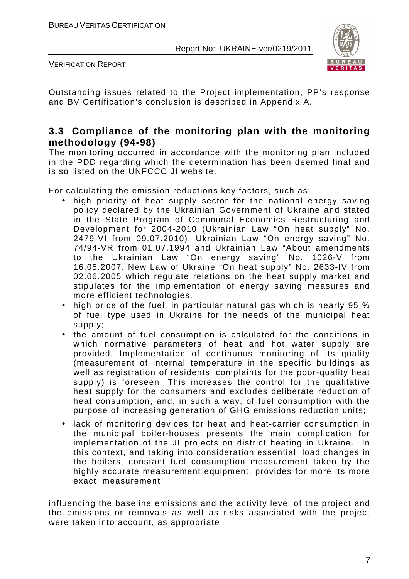

VERIFICATION REPORT

Outstanding issues related to the Project implementation, PP's response and BV Certification's conclusion is described in Appendix A.

## **3.3 Compliance of the monitoring plan with the monitoring methodology (94-98)**

The monitoring occurred in accordance with the monitoring plan included in the PDD regarding which the determination has been deemed final and is so listed on the UNFCCC JI website.

For calculating the emission reductions key factors, such as:

- high priority of heat supply sector for the national energy saving policy declared by the Ukrainian Government of Ukraine and stated in the State Program of Communal Economics Restructuring and Development for 2004-2010 (Ukrainian Law "On heat supply" No. 2479-VI from 09.07.2010), Ukrainian Law "On energy saving" No. 74/94-VR from 01.07.1994 and Ukrainian Law "About amendments to the Ukrainian Law "On energy saving" No. 1026-V from 16.05.2007. New Law of Ukraine "On heat supply" No. 2633-IV from 02.06.2005 which regulate relations on the heat supply market and stipulates for the implementation of energy saving measures and more efficient technologies.
- high price of the fuel, in particular natural gas which is nearly 95 % of fuel type used in Ukraine for the needs of the municipal heat supply;
- the amount of fuel consumption is calculated for the conditions in which normative parameters of heat and hot water supply are provided. Implementation of continuous monitoring of its quality (measurement of internal temperature in the specific buildings as well as registration of residents' complaints for the poor-quality heat supply) is foreseen. This increases the control for the qualitative heat supply for the consumers and excludes deliberate reduction of heat consumption, and, in such a way, of fuel consumption with the purpose of increasing generation of GHG emissions reduction units;
- lack of monitoring devices for heat and heat-carrier consumption in the municipal boiler-houses presents the main complication for implementation of the JI projects on district heating in Ukraine. In this context, and taking into consideration essential load changes in the boilers, constant fuel consumption measurement taken by the highly accurate measurement equipment, provides for more its more exact measurement

influencing the baseline emissions and the activity level of the project and the emissions or removals as well as risks associated with the project were taken into account, as appropriate.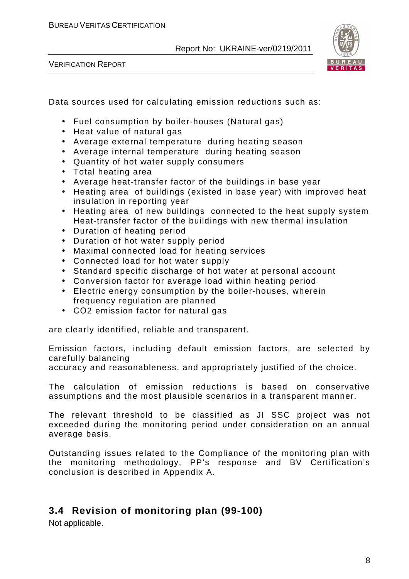VERIFICATION REPORT



Data sources used for calculating emission reductions such as:

- Fuel consumption by boiler-houses (Natural gas)
- Heat value of natural gas
- Average external temperature during heating season
- Average internal temperature during heating season
- Quantity of hot water supply consumers
- Total heating area
- Average heat-transfer factor of the buildings in base year
- Heating area of buildings (existed in base year) with improved heat insulation in reporting year
- Heating area of new buildings connected to the heat supply system Heat-transfer factor of the buildings with new thermal insulation
- Duration of heating period
- Duration of hot water supply period
- Maximal connected load for heating services
- Connected load for hot water supply
- Standard specific discharge of hot water at personal account
- Conversion factor for average load within heating period
- Electric energy consumption by the boiler-houses, wherein frequency regulation are planned
- СО2 emission factor for natural gas

are clearly identified, reliable and transparent.

Emission factors, including default emission factors, are selected by carefully balancing

accuracy and reasonableness, and appropriately justified of the choice.

The calculation of emission reductions is based on conservative assumptions and the most plausible scenarios in a transparent manner.

The relevant threshold to be classified as JI SSC project was not exceeded during the monitoring period under consideration on an annual average basis.

Outstanding issues related to the Compliance of the monitoring plan with the monitoring methodology, PP's response and BV Certification's conclusion is described in Appendix A.

## **3.4 Revision of monitoring plan (99-100)**

Not applicable.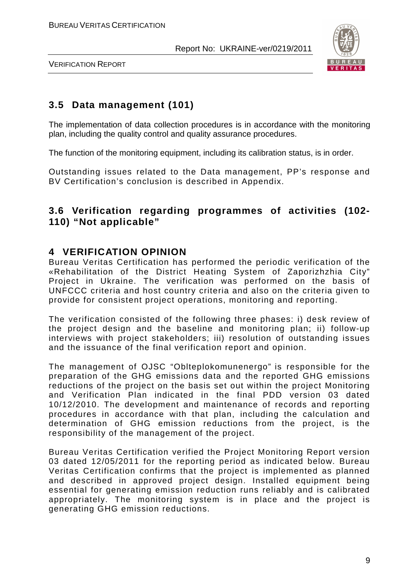

VERIFICATION REPORT

## **3.5 Data management (101)**

The implementation of data collection procedures is in accordance with the monitoring plan, including the quality control and quality assurance procedures.

The function of the monitoring equipment, including its calibration status, is in order.

Outstanding issues related to the Data management, PP's response and BV Certification's conclusion is described in Appendix.

## **3.6 Verification regarding programmes of activities (102- 110) "Not applicable"**

## **4 VERIFICATION OPINION**

Bureau Veritas Certification has performed the periodic verification of the «Rehabilitation of the District Heating System of Zaporizhzhia City" Project in Ukraine. The verification was performed on the basis of UNFCCC criteria and host country criteria and also on the criteria given to provide for consistent project operations, monitoring and reporting.

The verification consisted of the following three phases: i) desk review of the project design and the baseline and monitoring plan; ii) follow-up interviews with project stakeholders; iii) resolution of outstanding issues and the issuance of the final verification report and opinion.

The management of OJSC "Oblteplokomunenergo" is responsible for the preparation of the GHG emissions data and the reported GHG emissions reductions of the project on the basis set out within the project Monitoring and Verification Plan indicated in the final PDD version 03 dated 10/12/2010. The development and maintenance of records and reporting procedures in accordance with that plan, including the calculation and determination of GHG emission reductions from the project, is the responsibility of the management of the project.

Bureau Veritas Certification verified the Project Monitoring Report version 03 dated 12/05/2011 for the reporting period as indicated below. Bureau Veritas Certification confirms that the project is implemented as planned and described in approved project design. Installed equipment being essential for generating emission reduction runs reliably and is calibrated appropriately. The monitoring system is in place and the project is generating GHG emission reductions.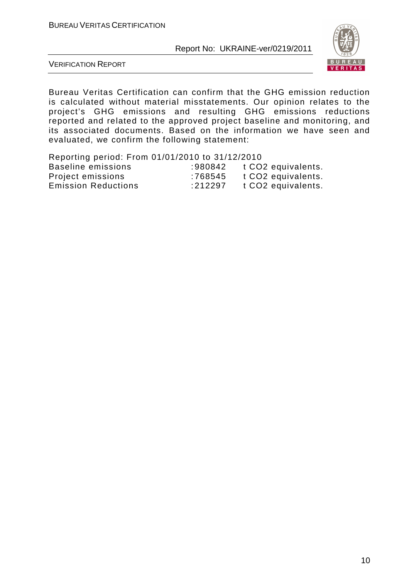

VERIFICATION REPORT

Bureau Veritas Certification can confirm that the GHG emission reduction is calculated without material misstatements. Our opinion relates to the project's GHG emissions and resulting GHG emissions reductions reported and related to the approved project baseline and monitoring, and its associated documents. Based on the information we have seen and evaluated, we confirm the following statement:

| Reporting period: From 01/01/2010 to 31/12/2010 |         |                                |
|-------------------------------------------------|---------|--------------------------------|
| <b>Baseline emissions</b>                       | :980842 | t CO2 equivalents.             |
| Project emissions                               | :768545 | t CO2 equivalents.             |
| <b>Emission Reductions</b>                      | :212297 | t CO <sub>2</sub> equivalents. |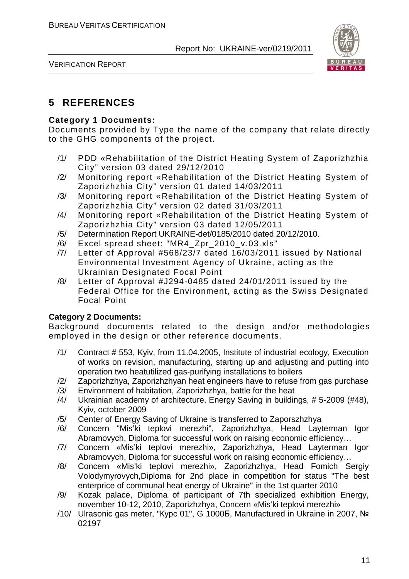

VERIFICATION REPORT

## **5 REFERENCES**

#### **Category 1 Documents:**

Documents provided by Type the name of the company that relate directly to the GHG components of the project.

- /1/ PDD «Rehabilitation of the District Heating System of Zaporizhzhia City" version 03 dated 29/12/2010
- /2/ Monitoring report «Rehabilitation of the District Heating System of Zaporizhzhia City" version 01 dated 14/03/2011
- /3/ Monitoring report «Rehabilitation of the District Heating System of Zaporizhzhia City" version 02 dated 31/03/2011
- /4/ Monitoring report «Rehabilitation of the District Heating System of Zaporizhzhia City" version 03 dated 12/05/2011
- /5/ Determination Report UKRAINE-det/0185/2010 dated 20/12/2010.
- /6/ Excel spread sheet: "MR4\_Zpr\_2010\_v.03.xls"
- /7/ Letter of Approval #568/23/7 dated 16/03/2011 issued by National Environmental Investment Agency of Ukraine, acting as the Ukrainian Designated Focal Point
- /8/ Letter of Approval #J294-0485 dated 24/01/2011 issued by the Federal Office for the Environment, acting as the Swiss Designated Focal Point

#### **Category 2 Documents:**

Background documents related to the design and/or methodologies employed in the design or other reference documents.

- /1/ Contract # 553, Kyiv, from 11.04.2005, Institute of industrial ecology, Execution of works on revision, manufacturing, starting up and adjusting and putting into operation two heatutilized gas-purifying installations to boilers
- /2/ Zaporizhzhya, Zaporizhzhyan heat engineers have to refuse from gas purchase
- /3/ Environment of habitation, Zaporizhzhya, battle for the heat
- /4/ Ukrainian academy of architecture, Energy Saving in buildings, # 5-2009 (#48), Kyiv, october 2009
- /5/ Center of Energy Saving of Ukraine is transferred to Zaporszhzhya
- /6/ Concern "Mis'ki teplovi merezhi", Zaporizhzhya, Head Layterman Igor Abramovych, Diploma for successful work on raising economic efficiency…
- /7/ Concern «Mis'ki teplovi merezhi», Zaporizhzhya, Head Layterman Igor Abramovych, Diploma for successful work on raising economic efficiency…
- /8/ Concern «Mis'ki teplovi merezhi», Zaporizhzhya, Head Fomich Sergiy Volodymyrovych,Diploma for 2nd place in competition for status "The best enterprice of communal heat energy of Ukraine" in the 1st quarter 2010
- /9/ Kozak palace, Diploma of participant of 7th specialized exhibition Energy, november 10-12, 2010, Zaporizhzhya, Concern «Mis'ki teplovi merezhi»
- /10/ Ulrasonic gas meter, "Курс 01", G 1000Б, Manufactured in Ukraine in 2007, № 02197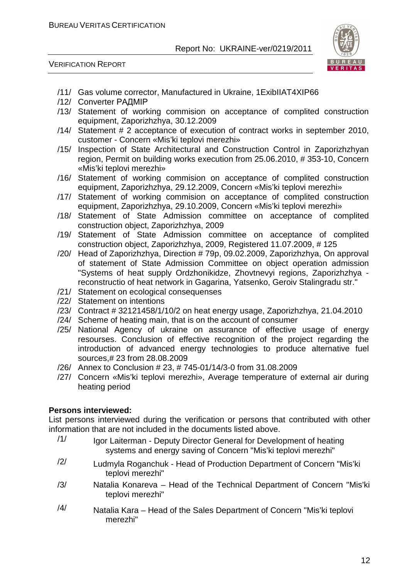

VERIFICATION REPORT

- /11/ Gas volume corrector, Manufactured in Ukraine, 1ExibIIAT4XIP66
- /12/ Converter РАДМІР
- /13/ Statement of working commision on acceptance of complited construction equipment, Zaporizhzhya, 30.12.2009
- /14/ Statement # 2 acceptance of execution of contract works in september 2010, customer - Concern «Mis'ki teplovi merezhi»
- /15/ Inspection of State Architectural and Construction Control in Zaporizhzhyan region, Permit on building works execution from 25.06.2010, # 353-10, Concern «Mis'ki teplovi merezhi»
- /16/ Statement of working commision on acceptance of complited construction equipment, Zaporizhzhya, 29.12.2009, Concern «Mis'ki teplovi merezhi»
- /17/ Statement of working commision on acceptance of complited construction equipment, Zaporizhzhya, 29.10.2009, Concern «Mis'ki teplovi merezhi»
- /18/ Statement of State Admission committee on acceptance of complited construction object, Zaporizhzhya, 2009
- /19/ Statement of State Admission committee on acceptance of complited construction object, Zaporizhzhya, 2009, Registered 11.07.2009, # 125
- /20/ Head of Zaporizhzhya, Direction # 79p, 09.02.2009, Zaporizhzhya, On approval of statement of State Admission Committee on object operation admission "Systems of heat supply Ordzhonikidze, Zhovtnevyi regions, Zaporizhzhya reconstructio of heat network in Gagarina, Yatsenko, Geroiv Stalingradu str."
- /21/ Statement on ecological consequenses
- /22/ Statement on intentions
- /23/ Contract # 32121458/1/10/2 on heat energy usage, Zaporizhzhya, 21.04.2010
- /24/ Scheme of heating main, that is on the account of consumer
- /25/ National Agency of ukraine on assurance of effective usage of energy resourses. Conclusion of effective recognition of the project regarding the introduction of advanced energy technologies to produce alternative fuel sources,# 23 from 28.08.2009
- /26/ Annex to Conclusion # 23, # 745-01/14/3-0 from 31.08.2009
- /27/ Concern «Mis'ki teplovi merezhi», Average temperature of external air during heating period

#### **Persons interviewed:**

List persons interviewed during the verification or persons that contributed with other information that are not included in the documents listed above.

- /1/ Igor Laiterman Deputy Director General for Development of heating systems and energy saving of Concern "Mis'ki teplovi merezhi"
- $/2/$  Ludmyla Roganchuk Head of Production Department of Concern "Mis'ki teplovi merezhi"
- /3/ Natalia Konareva Head of the Technical Department of Concern "Mis'ki teplovi merezhi"
- $/4/$  Natalia Kara Head of the Sales Department of Concern "Mis'ki teplovi merezhi"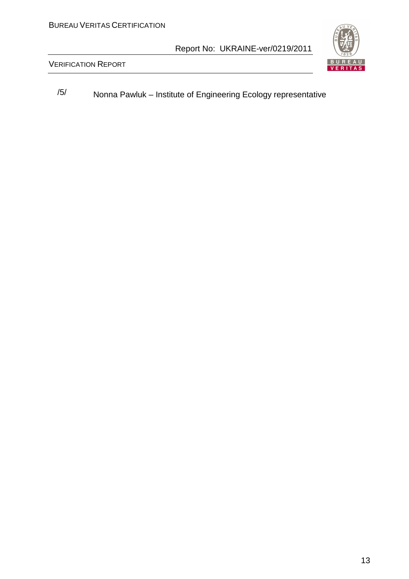

VERIFICATION REPORT

/5/ Nonna Pawluk – Institute of Engineering Ecology representative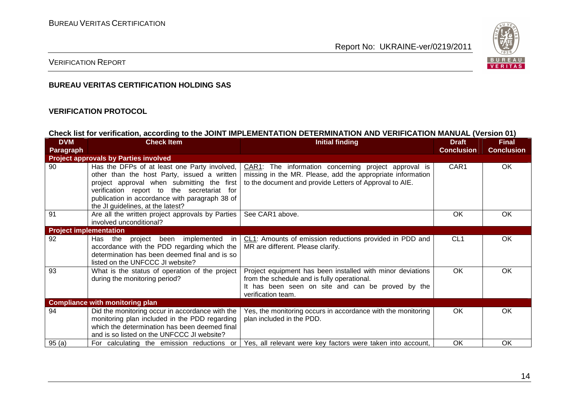

#### VERIFICATION REPORT

#### **BUREAU VERITAS CERTIFICATION HOLDING SAS**

#### **VERIFICATION PROTOCOL**

#### **Check list for verification, according to the JOINT IMPLEMENTATION DETERMINATION AND VERIFICATION MANUAL (Version 01)**

| <b>DVM</b>                    | <b>Check Item</b>                                                                                                                                                                                                                                                              | <b>Initial finding</b>                                                                                                                                                               | <b>Draft</b>      | <b>Final</b>      |
|-------------------------------|--------------------------------------------------------------------------------------------------------------------------------------------------------------------------------------------------------------------------------------------------------------------------------|--------------------------------------------------------------------------------------------------------------------------------------------------------------------------------------|-------------------|-------------------|
| Paragraph                     |                                                                                                                                                                                                                                                                                |                                                                                                                                                                                      | <b>Conclusion</b> | <b>Conclusion</b> |
|                               | <b>Project approvals by Parties involved</b>                                                                                                                                                                                                                                   |                                                                                                                                                                                      |                   |                   |
| 90                            | Has the DFPs of at least one Party involved,<br>other than the host Party, issued a written<br>project approval when submitting the first<br>verification report to the secretariat for<br>publication in accordance with paragraph 38 of<br>the JI guidelines, at the latest? | CAR1: The information concerning project approval is<br>missing in the MR. Please, add the appropriate information<br>to the document and provide Letters of Approval to AIE.        | CAR1              | OK                |
| 91                            | Are all the written project approvals by Parties<br>involved unconditional?                                                                                                                                                                                                    | See CAR1 above.                                                                                                                                                                      | <b>OK</b>         | <b>OK</b>         |
| <b>Project implementation</b> |                                                                                                                                                                                                                                                                                |                                                                                                                                                                                      |                   |                   |
| 92                            | Has the project been implemented in<br>accordance with the PDD regarding which the<br>determination has been deemed final and is so<br>listed on the UNFCCC JI website?                                                                                                        | CL1: Amounts of emission reductions provided in PDD and<br>MR are different. Please clarify.                                                                                         | CL <sub>1</sub>   | OK                |
| 93                            | What is the status of operation of the project<br>during the monitoring period?                                                                                                                                                                                                | Project equipment has been installed with minor deviations<br>from the schedule and is fully operational.<br>It has been seen on site and can be proved by the<br>verification team. | OK                | OK                |
|                               | <b>Compliance with monitoring plan</b>                                                                                                                                                                                                                                         |                                                                                                                                                                                      |                   |                   |
| 94                            | Did the monitoring occur in accordance with the<br>monitoring plan included in the PDD regarding<br>which the determination has been deemed final<br>and is so listed on the UNFCCC JI website?                                                                                | Yes, the monitoring occurs in accordance with the monitoring<br>plan included in the PDD.                                                                                            | OK                | <b>OK</b>         |
| 95(a)                         | For calculating the emission reductions or                                                                                                                                                                                                                                     | Yes, all relevant were key factors were taken into account,                                                                                                                          | <b>OK</b>         | <b>OK</b>         |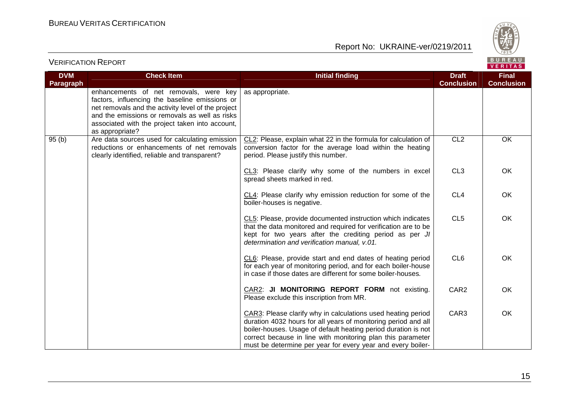

| <b>DVM</b>       | <b>Check Item</b>                                                                                                                                                                                                                                                      | <b>Initial finding</b>                                                                                                                                                                                                                                                                                                         | <b>Draft</b>      | <b>Final</b>      |
|------------------|------------------------------------------------------------------------------------------------------------------------------------------------------------------------------------------------------------------------------------------------------------------------|--------------------------------------------------------------------------------------------------------------------------------------------------------------------------------------------------------------------------------------------------------------------------------------------------------------------------------|-------------------|-------------------|
| <b>Paragraph</b> |                                                                                                                                                                                                                                                                        |                                                                                                                                                                                                                                                                                                                                | <b>Conclusion</b> | <b>Conclusion</b> |
|                  | enhancements of net removals, were key<br>factors, influencing the baseline emissions or<br>net removals and the activity level of the project<br>and the emissions or removals as well as risks<br>associated with the project taken into account,<br>as appropriate? | as appropriate.                                                                                                                                                                                                                                                                                                                |                   |                   |
| 95(b)            | Are data sources used for calculating emission<br>reductions or enhancements of net removals<br>clearly identified, reliable and transparent?                                                                                                                          | CL2: Please, explain what 22 in the formula for calculation of<br>conversion factor for the average load within the heating<br>period. Please justify this number.                                                                                                                                                             | CL <sub>2</sub>   | OK                |
|                  |                                                                                                                                                                                                                                                                        | CL3: Please clarify why some of the numbers in excel<br>spread sheets marked in red.                                                                                                                                                                                                                                           | CL <sub>3</sub>   | OK                |
|                  |                                                                                                                                                                                                                                                                        | CL4: Please clarify why emission reduction for some of the<br>boiler-houses is negative.                                                                                                                                                                                                                                       | CL <sub>4</sub>   | OK                |
|                  |                                                                                                                                                                                                                                                                        | CL5: Please, provide documented instruction which indicates<br>that the data monitored and required for verification are to be<br>kept for two years after the crediting period as per JI<br>determination and verification manual, v.01.                                                                                      | CL <sub>5</sub>   | OK                |
|                  |                                                                                                                                                                                                                                                                        | CL6: Please, provide start and end dates of heating period<br>for each year of monitoring period, and for each boiler-house<br>in case if those dates are different for some boiler-houses.                                                                                                                                    | CL <sub>6</sub>   | OK                |
|                  |                                                                                                                                                                                                                                                                        | CAR2: JI MONITORING REPORT FORM not existing.<br>Please exclude this inscription from MR.                                                                                                                                                                                                                                      | CAR <sub>2</sub>  | OK                |
|                  |                                                                                                                                                                                                                                                                        | CAR3: Please clarify why in calculations used heating period<br>duration 4032 hours for all years of monitoring period and all<br>boiler-houses. Usage of default heating period duration is not<br>correct because in line with monitoring plan this parameter<br>must be determine per year for every year and every boiler- | CAR3              | OK                |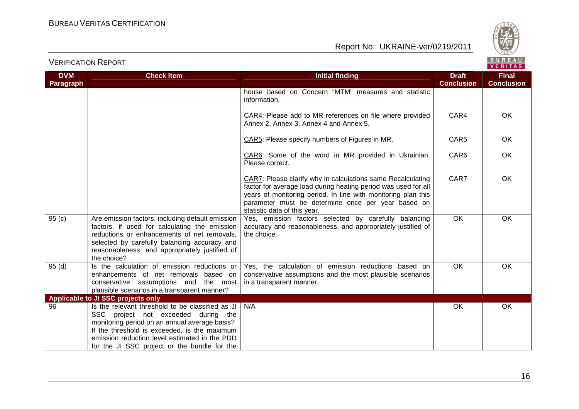

| <b>DVM</b><br>Paragraph | <b>Check Item</b>                                                                                                                                                                                                                                                                         | <b>Initial finding</b>                                                                                                                                                                                                                                                               | <b>Draft</b><br><b>Conclusion</b> | <b>Final</b><br><b>Conclusion</b> |
|-------------------------|-------------------------------------------------------------------------------------------------------------------------------------------------------------------------------------------------------------------------------------------------------------------------------------------|--------------------------------------------------------------------------------------------------------------------------------------------------------------------------------------------------------------------------------------------------------------------------------------|-----------------------------------|-----------------------------------|
|                         |                                                                                                                                                                                                                                                                                           | house based on Concern "MTM" measures and statistic<br>information.                                                                                                                                                                                                                  |                                   |                                   |
|                         |                                                                                                                                                                                                                                                                                           | CAR4: Please add to MR references on file where provided<br>Annex 2, Annex 3, Annex 4 and Annex 5.                                                                                                                                                                                   | CAR4                              | <b>OK</b>                         |
|                         |                                                                                                                                                                                                                                                                                           | CAR5: Please specify numbers of Figures in MR.                                                                                                                                                                                                                                       | CAR <sub>5</sub>                  | OK.                               |
|                         |                                                                                                                                                                                                                                                                                           | CAR6: Some of the word in MR provided in Ukrainian.<br>Please correct.                                                                                                                                                                                                               | CAR6                              | OK                                |
|                         |                                                                                                                                                                                                                                                                                           | CAR7: Please clarify why in calculations same Recalculating<br>factor for average load during heating period was used for all<br>years of monitoring period. In line with monitoring plan this<br>parameter must be determine once per year based on<br>statistic data of this year. | CAR7                              | OK                                |
| 95(c)                   | Are emission factors, including default emission<br>factors, if used for calculating the emission<br>reductions or enhancements of net removals,<br>selected by carefully balancing accuracy and<br>reasonableness, and appropriately justified of<br>the choice?                         | Yes, emission factors selected by carefully balancing<br>accuracy and reasonableness, and appropriately justified of<br>the choice.                                                                                                                                                  | <b>OK</b>                         | OK                                |
| 95(d)                   | Is the calculation of emission reductions or<br>enhancements of net removals based on<br>conservative assumptions and the most<br>plausible scenarios in a transparent manner?                                                                                                            | Yes, the calculation of emission reductions based on<br>conservative assumptions and the most plausible scenarios<br>in a transparent manner.                                                                                                                                        | $\overline{OK}$                   | OK                                |
|                         | Applicable to JI SSC projects only                                                                                                                                                                                                                                                        |                                                                                                                                                                                                                                                                                      |                                   |                                   |
| 96                      | Is the relevant threshold to be classified as JI<br>SSC project not exceeded during the<br>monitoring period on an annual average basis?<br>If the threshold is exceeded, is the maximum<br>emission reduction level estimated in the PDD<br>for the JI SSC project or the bundle for the | N/A                                                                                                                                                                                                                                                                                  | OK                                | OK                                |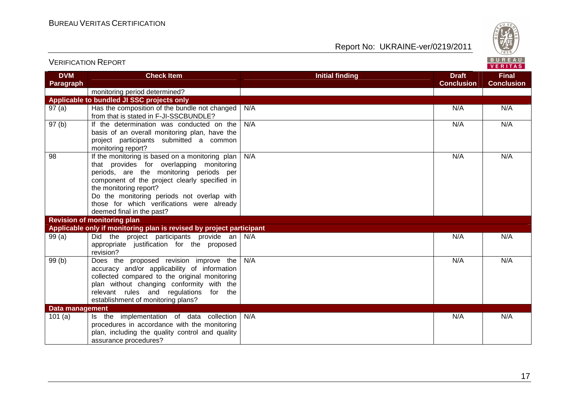

| <b>DVM</b><br>Paragraph | <b>Check Item</b>                                                                                                                                                                                                                                                                                                                          | <b>Initial finding</b> | <b>Draft</b><br><b>Conclusion</b> | <b>Final</b><br><b>Conclusion</b> |
|-------------------------|--------------------------------------------------------------------------------------------------------------------------------------------------------------------------------------------------------------------------------------------------------------------------------------------------------------------------------------------|------------------------|-----------------------------------|-----------------------------------|
|                         | monitoring period determined?                                                                                                                                                                                                                                                                                                              |                        |                                   |                                   |
|                         | Applicable to bundled JI SSC projects only                                                                                                                                                                                                                                                                                                 |                        |                                   |                                   |
| 97(a)                   | Has the composition of the bundle not changed<br>from that is stated in F-JI-SSCBUNDLE?                                                                                                                                                                                                                                                    | N/A                    | N/A                               | N/A                               |
| $\overline{97}$ (b)     | If the determination was conducted on the<br>basis of an overall monitoring plan, have the<br>project participants submitted a common<br>monitoring report?                                                                                                                                                                                | N/A                    | N/A                               | N/A                               |
| 98                      | If the monitoring is based on a monitoring plan<br>that provides for overlapping monitoring<br>periods, are the monitoring periods per<br>component of the project clearly specified in<br>the monitoring report?<br>Do the monitoring periods not overlap with<br>those for which verifications were already<br>deemed final in the past? | N/A                    | N/A                               | N/A                               |
|                         | <b>Revision of monitoring plan</b>                                                                                                                                                                                                                                                                                                         |                        |                                   |                                   |
|                         | Applicable only if monitoring plan is revised by project participant                                                                                                                                                                                                                                                                       |                        |                                   |                                   |
| 99(a)                   | Did the project participants provide an N/A<br>appropriate justification for the proposed<br>revision?                                                                                                                                                                                                                                     |                        | N/A                               | N/A                               |
| 99(b)                   | Does the proposed revision improve the<br>accuracy and/or applicability of information<br>collected compared to the original monitoring<br>plan without changing conformity with the<br>relevant rules and regulations<br>for the<br>establishment of monitoring plans?                                                                    | N/A                    | N/A                               | N/A                               |
| Data management         |                                                                                                                                                                                                                                                                                                                                            |                        |                                   |                                   |
| 101(a)                  | Is the implementation of data collection<br>procedures in accordance with the monitoring<br>plan, including the quality control and quality<br>assurance procedures?                                                                                                                                                                       | N/A                    | N/A                               | N/A                               |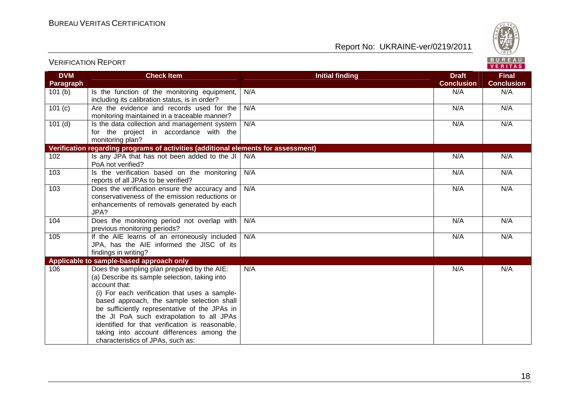VERIFICATION REPORT



| <b>DVM</b>       | <b>Check Item</b>                                                                                                                                                                                                                                                                                                                                                                                                                                | <b>Initial finding</b> | <b>Draft</b>      | <b>Final</b>      |
|------------------|--------------------------------------------------------------------------------------------------------------------------------------------------------------------------------------------------------------------------------------------------------------------------------------------------------------------------------------------------------------------------------------------------------------------------------------------------|------------------------|-------------------|-------------------|
| <b>Paragraph</b> |                                                                                                                                                                                                                                                                                                                                                                                                                                                  |                        | <b>Conclusion</b> | <b>Conclusion</b> |
| 101(b)           | Is the function of the monitoring equipment,<br>including its calibration status, is in order?                                                                                                                                                                                                                                                                                                                                                   | N/A                    | N/A               | N/A               |
| 101(c)           | Are the evidence and records used for the<br>monitoring maintained in a traceable manner?                                                                                                                                                                                                                                                                                                                                                        | N/A                    | N/A               | N/A               |
| 101(d)           | Is the data collection and management system<br>for the project in accordance with the<br>monitoring plan?                                                                                                                                                                                                                                                                                                                                       | N/A                    | N/A               | N/A               |
|                  | Verification regarding programs of activities (additional elements for assessment)                                                                                                                                                                                                                                                                                                                                                               |                        |                   |                   |
| 102              | Is any JPA that has not been added to the JI<br>PoA not verified?                                                                                                                                                                                                                                                                                                                                                                                | N/A                    | N/A               | N/A               |
| 103              | Is the verification based on the monitoring<br>reports of all JPAs to be verified?                                                                                                                                                                                                                                                                                                                                                               | N/A                    | N/A               | N/A               |
| 103              | Does the verification ensure the accuracy and<br>conservativeness of the emission reductions or<br>enhancements of removals generated by each<br>JPA?                                                                                                                                                                                                                                                                                            | N/A                    | N/A               | N/A               |
| 104              | Does the monitoring period not overlap with<br>previous monitoring periods?                                                                                                                                                                                                                                                                                                                                                                      | N/A                    | N/A               | N/A               |
| 105              | If the AIE learns of an erroneously included<br>JPA, has the AIE informed the JISC of its<br>findings in writing?                                                                                                                                                                                                                                                                                                                                | N/A                    | N/A               | N/A               |
|                  | Applicable to sample-based approach only                                                                                                                                                                                                                                                                                                                                                                                                         |                        |                   |                   |
| 106              | Does the sampling plan prepared by the AIE:<br>(a) Describe its sample selection, taking into<br>account that:<br>(i) For each verification that uses a sample-<br>based approach, the sample selection shall<br>be sufficiently representative of the JPAs in<br>the JI PoA such extrapolation to all JPAs<br>identified for that verification is reasonable,<br>taking into account differences among the<br>characteristics of JPAs, such as: | N/A                    | N/A               | N/A               |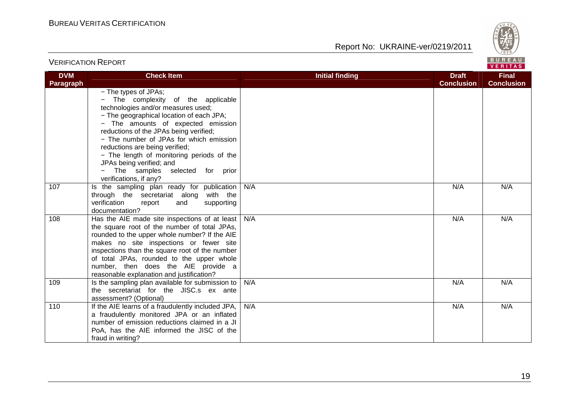VERIFICATION REPORT

Report No: UKRAINE-ver/0219/2011



#### **VERITAS DVM Check Item Draft Check Item Initial finding Check Item Draft Final Paragraph Conclusion Conclusion** − The types of JPAs; − The complexity of the applicable technologies and/or measures used; − The geographical location of each JPA; − The amounts of expected emission reductions of the JPAs being verified; − The number of JPAs for which emission reductions are being verified; − The length of monitoring periods of the JPAs being verified; and − The samples selected for prior verifications, if any? 107 | Is the sampling plan ready for publication N/A N/A N/A through the secretariat along with the verification report and supporting documentation? 108 | Has the AIE made site inspections of at least N/A N/A N/A the square root of the number of total JPAs, rounded to the upper whole number? If the AIE makes no site inspections or fewer site inspections than the square root of the number of total JPAs, rounded to the upper whole number, then does the AIE provide a reasonable explanation and justification? 109 | Is the sampling plan available for submission to N/A N/A N/A the secretariat for the JISC.s ex ante assessment? (Optional) 110 | If the AIE learns of a fraudulently included JPA, N/A N/A N/A a fraudulently monitored JPA or an inflated number of emission reductions claimed in a JI PoA, has the AIE informed the JISC of the fraud in writing?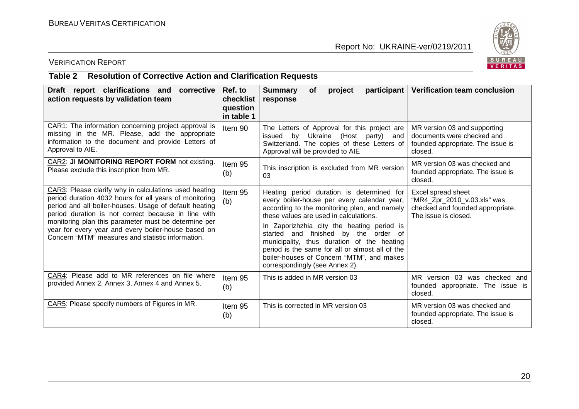

## VERIFICATION REPORT

#### **Table 2 Resolution of Corrective Action and Clarification Requests**

| Draft report clarifications and<br>corrective<br>action requests by validation team                                                                                                                                                                                                                                                                                                                  | Ref. to<br>checklist<br>question<br>in table 1 | <b>Summary</b><br>participant<br>project<br><b>of</b><br>response                                                                                                                                                                                                                                                                                                                                                                                        | Verification team conclusion                                                                                  |
|------------------------------------------------------------------------------------------------------------------------------------------------------------------------------------------------------------------------------------------------------------------------------------------------------------------------------------------------------------------------------------------------------|------------------------------------------------|----------------------------------------------------------------------------------------------------------------------------------------------------------------------------------------------------------------------------------------------------------------------------------------------------------------------------------------------------------------------------------------------------------------------------------------------------------|---------------------------------------------------------------------------------------------------------------|
| CAR1: The information concerning project approval is<br>missing in the MR. Please, add the appropriate<br>information to the document and provide Letters of<br>Approval to AIE.                                                                                                                                                                                                                     | Item 90                                        | The Letters of Approval for this project are<br>issued by Ukraine (Host party) and<br>Switzerland. The copies of these Letters of<br>Approval will be provided to AIE                                                                                                                                                                                                                                                                                    | MR version 03 and supporting<br>documents were checked and<br>founded appropriate. The issue is<br>closed.    |
| CAR2: JI MONITORING REPORT FORM not existing.<br>Please exclude this inscription from MR.                                                                                                                                                                                                                                                                                                            | Item 95<br>(b)                                 | This inscription is excluded from MR version<br>03                                                                                                                                                                                                                                                                                                                                                                                                       | MR version 03 was checked and<br>founded appropriate. The issue is<br>closed.                                 |
| CAR3: Please clarify why in calculations used heating<br>period duration 4032 hours for all years of monitoring<br>period and all boiler-houses. Usage of default heating<br>period duration is not correct because in line with<br>monitoring plan this parameter must be determine per<br>year for every year and every boiler-house based on<br>Concern "MTM" measures and statistic information. | Item 95<br>(b)                                 | Heating period duration is determined for<br>every boiler-house per every calendar year,<br>according to the monitoring plan, and namely<br>these values are used in calculations.<br>In Zaporizhzhia city the heating period is<br>started and finished by the order of<br>municipality, thus duration of the heating<br>period is the same for all or almost all of the<br>boiler-houses of Concern "MTM", and makes<br>correspondingly (see Annex 2). | Excel spread sheet<br>"MR4_Zpr_2010_v.03.xls" was<br>checked and founded appropriate.<br>The issue is closed. |
| CAR4: Please add to MR references on file where<br>provided Annex 2, Annex 3, Annex 4 and Annex 5.                                                                                                                                                                                                                                                                                                   | Item 95<br>(b)                                 | This is added in MR version 03                                                                                                                                                                                                                                                                                                                                                                                                                           | MR version 03 was checked and<br>founded appropriate. The issue is<br>closed.                                 |
| CAR5: Please specify numbers of Figures in MR.                                                                                                                                                                                                                                                                                                                                                       | Item 95<br>(b)                                 | This is corrected in MR version 03                                                                                                                                                                                                                                                                                                                                                                                                                       | MR version 03 was checked and<br>founded appropriate. The issue is<br>closed.                                 |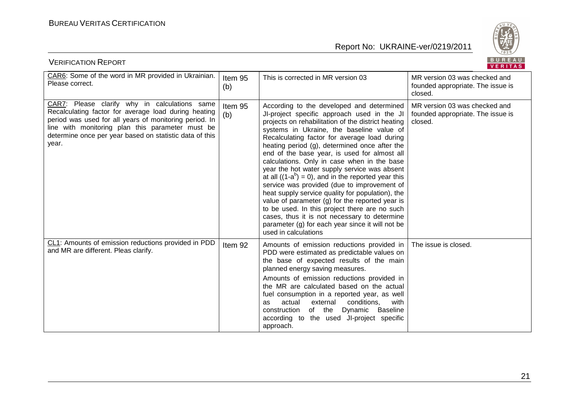

| BUREAU<br><b>VERIFICATION REPORT</b><br>VERITAS                                                                                                                                                                                                                                         |                |                                                                                                                                                                                                                                                                                                                                                                                                                                                                                                                                                                                                                                                                                                                                                                                                                                            |                                                                               |
|-----------------------------------------------------------------------------------------------------------------------------------------------------------------------------------------------------------------------------------------------------------------------------------------|----------------|--------------------------------------------------------------------------------------------------------------------------------------------------------------------------------------------------------------------------------------------------------------------------------------------------------------------------------------------------------------------------------------------------------------------------------------------------------------------------------------------------------------------------------------------------------------------------------------------------------------------------------------------------------------------------------------------------------------------------------------------------------------------------------------------------------------------------------------------|-------------------------------------------------------------------------------|
| CAR6: Some of the word in MR provided in Ukrainian.<br>Please correct.                                                                                                                                                                                                                  | Item 95<br>(b) | This is corrected in MR version 03                                                                                                                                                                                                                                                                                                                                                                                                                                                                                                                                                                                                                                                                                                                                                                                                         | MR version 03 was checked and<br>founded appropriate. The issue is<br>closed. |
| CAR7: Please clarify why in calculations same<br>Recalculating factor for average load during heating<br>period was used for all years of monitoring period. In<br>line with monitoring plan this parameter must be<br>determine once per year based on statistic data of this<br>year. | Item 95<br>(b) | According to the developed and determined<br>JI-project specific approach used in the JI<br>projects on rehabilitation of the district heating<br>systems in Ukraine, the baseline value of<br>Recalculating factor for average load during<br>heating period (g), determined once after the<br>end of the base year, is used for almost all<br>calculations. Only in case when in the base<br>year the hot water supply service was absent<br>at all $((1-a^b) = 0)$ , and in the reported year this<br>service was provided (due to improvement of<br>heat supply service quality for population), the<br>value of parameter $(g)$ for the reported year is<br>to be used. In this project there are no such<br>cases, thus it is not necessary to determine<br>parameter (g) for each year since it will not be<br>used in calculations | MR version 03 was checked and<br>founded appropriate. The issue is<br>closed. |
| CL1: Amounts of emission reductions provided in PDD<br>and MR are different. Pleas clarify.                                                                                                                                                                                             | Item 92        | Amounts of emission reductions provided in<br>PDD were estimated as predictable values on<br>the base of expected results of the main<br>planned energy saving measures.<br>Amounts of emission reductions provided in<br>the MR are calculated based on the actual<br>fuel consumption in a reported year, as well<br>actual<br>external<br>conditions.<br>with<br>as<br>of the<br>Dynamic<br><b>Baseline</b><br>construction<br>according to the used JI-project specific<br>approach.                                                                                                                                                                                                                                                                                                                                                   | The issue is closed.                                                          |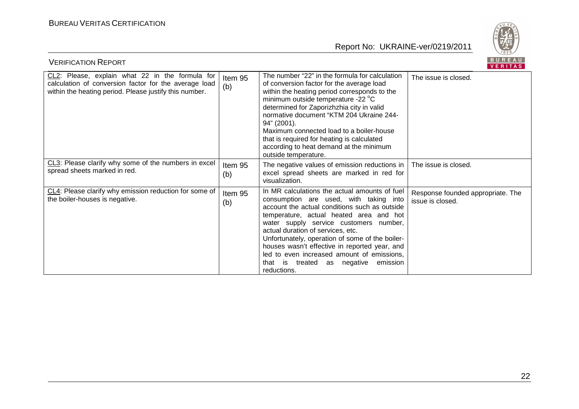

| BUREAU<br><b>VERIFICATION REPORT</b><br>VERITAS                                                                                                                    |                |                                                                                                                                                                                                                                                                                                                                                                                                                                                                                |                                                       |  |
|--------------------------------------------------------------------------------------------------------------------------------------------------------------------|----------------|--------------------------------------------------------------------------------------------------------------------------------------------------------------------------------------------------------------------------------------------------------------------------------------------------------------------------------------------------------------------------------------------------------------------------------------------------------------------------------|-------------------------------------------------------|--|
| CL2: Please, explain what 22 in the formula for<br>calculation of conversion factor for the average load<br>within the heating period. Please justify this number. | Item 95<br>(b) | The number "22" in the formula for calculation<br>of conversion factor for the average load<br>within the heating period corresponds to the<br>minimum outside temperature -22 °C<br>determined for Zaporizhzhia city in valid<br>normative document "KTM 204 Ukraine 244-<br>94" (2001).<br>Maximum connected load to a boiler-house<br>that is required for heating is calculated<br>according to heat demand at the minimum<br>outside temperature.                         | The issue is closed.                                  |  |
| CL3: Please clarify why some of the numbers in excel<br>spread sheets marked in red.                                                                               | Item 95<br>(b) | The negative values of emission reductions in<br>excel spread sheets are marked in red for<br>visualization.                                                                                                                                                                                                                                                                                                                                                                   | The issue is closed.                                  |  |
| CL4: Please clarify why emission reduction for some of<br>the boiler-houses is negative.                                                                           | Item 95<br>(b) | In MR calculations the actual amounts of fuel<br>consumption are used, with taking into<br>account the actual conditions such as outside<br>temperature, actual heated area and hot<br>water supply service customers number,<br>actual duration of services, etc.<br>Unfortunately, operation of some of the boiler-<br>houses wasn't effective in reported year, and<br>led to even increased amount of emissions,<br>emission<br>that is treated as negative<br>reductions. | Response founded appropriate. The<br>issue is closed. |  |